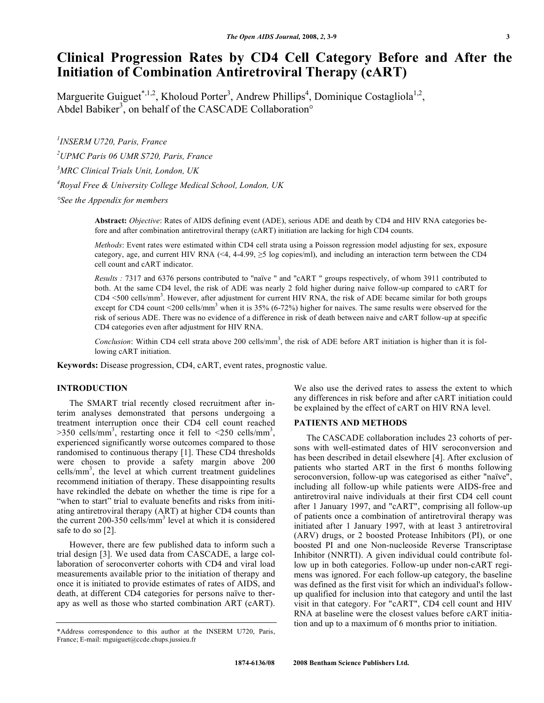# **Clinical Progression Rates by CD4 Cell Category Before and After the Initiation of Combination Antiretroviral Therapy (cART)**

Marguerite Guiguet<sup>\*,1,2</sup>, Kholoud Porter<sup>3</sup>, Andrew Phillips<sup>4</sup>, Dominique Costagliola<sup>1,2</sup>, Abdel Babiker<sup>3</sup>, on behalf of the CASCADE Collaboration<sup>o</sup>

*1 INSERM U720, Paris, France* 

*2 UPMC Paris 06 UMR S720, Paris, France* 

*3 MRC Clinical Trials Unit, London, UK* 

*4 Royal Free & University College Medical School, London, UK* 

*°See the Appendix for members* 

**Abstract:** *Objective*: Rates of AIDS defining event (ADE), serious ADE and death by CD4 and HIV RNA categories before and after combination antiretroviral therapy (cART) initiation are lacking for high CD4 counts.

*Methods*: Event rates were estimated within CD4 cell strata using a Poisson regression model adjusting for sex, exposure category, age, and current HIV RNA (<4, 4-4.99,  $\geq$ 5 log copies/ml), and including an interaction term between the CD4 cell count and cART indicator.

*Results :* 7317 and 6376 persons contributed to "naïve " and "cART " groups respectively, of whom 3911 contributed to both. At the same CD4 level, the risk of ADE was nearly 2 fold higher during naive follow-up compared to cART for CD4 <500 cells/mm<sup>3</sup>. However, after adjustment for current HIV RNA, the risk of ADE became similar for both groups except for CD4 count <200 cells/mm<sup>3</sup> when it is 35% (6-72%) higher for naives. The same results were observed for the risk of serious ADE. There was no evidence of a difference in risk of death between naive and cART follow-up at specific CD4 categories even after adjustment for HIV RNA.

Conclusion: Within CD4 cell strata above 200 cells/mm<sup>3</sup>, the risk of ADE before ART initiation is higher than it is following cART initiation.

**Keywords:** Disease progression, CD4, cART, event rates, prognostic value.

# **INTRODUCTION**

 The SMART trial recently closed recruitment after interim analyses demonstrated that persons undergoing a treatment interruption once their CD4 cell count reached  $>350$  cells/mm<sup>3</sup>, restarting once it fell to  $\leq 250$  cells/mm<sup>3</sup>, experienced significantly worse outcomes compared to those randomised to continuous therapy [1]. These CD4 thresholds were chosen to provide a safety margin above 200 cells/mm<sup>3</sup> , the level at which current treatment guidelines recommend initiation of therapy. These disappointing results have rekindled the debate on whether the time is ripe for a "when to start" trial to evaluate benefits and risks from initiating antiretroviral therapy (ART) at higher CD4 counts than the current 200-350 cells/mm<sup>3</sup> level at which it is considered safe to do so [2].

 However, there are few published data to inform such a trial design [3]. We used data from CASCADE, a large collaboration of seroconverter cohorts with CD4 and viral load measurements available prior to the initiation of therapy and once it is initiated to provide estimates of rates of AIDS, and death, at different CD4 categories for persons naïve to therapy as well as those who started combination ART (cART). We also use the derived rates to assess the extent to which any differences in risk before and after cART initiation could be explained by the effect of cART on HIV RNA level.

## **PATIENTS AND METHODS**

 The CASCADE collaboration includes 23 cohorts of persons with well-estimated dates of HIV seroconversion and has been described in detail elsewhere [4]. After exclusion of patients who started ART in the first 6 months following seroconversion, follow-up was categorised as either "naïve", including all follow-up while patients were AIDS-free and antiretroviral naive individuals at their first CD4 cell count after 1 January 1997, and "cART", comprising all follow-up of patients once a combination of antiretroviral therapy was initiated after 1 January 1997, with at least 3 antiretroviral (ARV) drugs, or 2 boosted Protease Inhibitors (PI), or one boosted PI and one Non-nucleoside Reverse Transcriptase Inhibitor (NNRTI). A given individual could contribute follow up in both categories. Follow-up under non-cART regimens was ignored. For each follow-up category, the baseline was defined as the first visit for which an individual's followup qualified for inclusion into that category and until the last visit in that category. For "cART", CD4 cell count and HIV RNA at baseline were the closest values before cART initiation and up to a maximum of 6 months prior to initiation.

<sup>\*</sup>Address correspondence to this author at the INSERM U720, Paris, France; E-mail: mguiguet@ccde.chups.jussieu.fr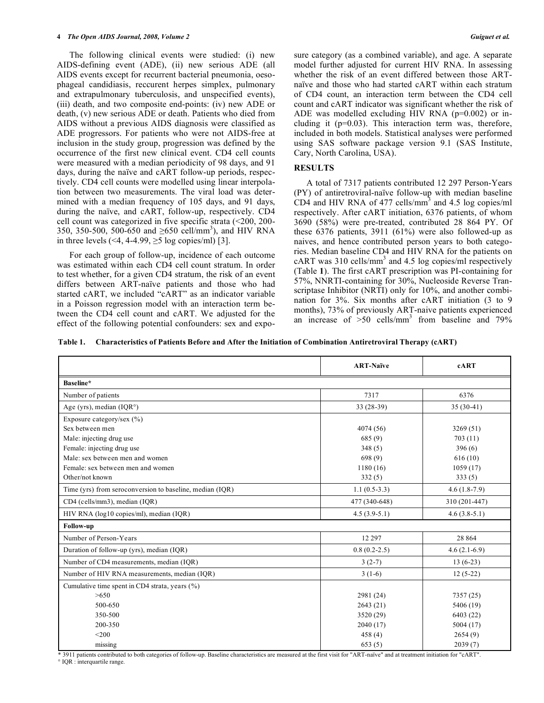The following clinical events were studied: (i) new AIDS-defining event (ADE), (ii) new serious ADE (all AIDS events except for recurrent bacterial pneumonia, oesophageal candidiasis, reccurent herpes simplex, pulmonary and extrapulmonary tuberculosis, and unspecified events), (iii) death, and two composite end-points: (iv) new ADE or death, (v) new serious ADE or death. Patients who died from AIDS without a previous AIDS diagnosis were classified as ADE progressors. For patients who were not AIDS-free at inclusion in the study group, progression was defined by the occurrence of the first new clinical event. CD4 cell counts were measured with a median periodicity of 98 days, and 91 days, during the naïve and cART follow-up periods, respectively. CD4 cell counts were modelled using linear interpolation between two measurements. The viral load was determined with a median frequency of 105 days, and 91 days, during the naïve, and cART, follow-up, respectively. CD4 cell count was categorized in five specific strata (<200, 200- 350, 350-500, 500-650 and  $\geq 650$  cell/mm<sup>3</sup>), and HIV RNA in three levels  $(\leq 4, 4-4.99, \geq 5 \log \text{ copies/ml})$  [3].

 For each group of follow-up, incidence of each outcome was estimated within each CD4 cell count stratum. In order to test whether, for a given CD4 stratum, the risk of an event differs between ART-naïve patients and those who had started cART, we included "cART" as an indicator variable in a Poisson regression model with an interaction term between the CD4 cell count and cART. We adjusted for the effect of the following potential confounders: sex and exposure category (as a combined variable), and age. A separate model further adjusted for current HIV RNA. In assessing whether the risk of an event differed between those ARTnaïve and those who had started cART within each stratum of CD4 count, an interaction term between the CD4 cell count and cART indicator was significant whether the risk of ADE was modelled excluding HIV RNA (p=0.002) or including it  $(p=0.03)$ . This interaction term was, therefore, included in both models. Statistical analyses were performed using SAS software package version 9.1 (SAS Institute, Cary, North Carolina, USA).

#### **RESULTS**

 A total of 7317 patients contributed 12 297 Person-Years (PY) of antiretroviral-naïve follow-up with median baseline  $CD4$  and HIV RNA of 477 cells/mm<sup>3</sup> and 4.5 log copies/ml respectively. After cART initiation, 6376 patients, of whom 3690 (58%) were pre-treated, contributed 28 864 PY. Of these 6376 patients, 3911 (61%) were also followed-up as naives, and hence contributed person years to both categories. Median baseline CD4 and HIV RNA for the patients on  $cART$  was 310 cells/mm<sup>3</sup> and 4.5 log copies/ml respectively (Table **1**). The first cART prescription was PI-containing for 57%, NNRTI-containing for 30%, Nucleoside Reverse Transcriptase Inhibitor (NRTI) only for 10%, and another combination for 3%. Six months after cART initiation (3 to 9 months), 73% of previously ART-naive patients experienced an increase of  $>50$  cells/mm<sup>3</sup> from baseline and 79%

|  | Table 1. Characteristics of Patients Before and After the Initiation of Combination Antiretroviral Therapy (cART) |  |
|--|-------------------------------------------------------------------------------------------------------------------|--|
|--|-------------------------------------------------------------------------------------------------------------------|--|

|                                                          | <b>ART-Naïve</b> | cART           |  |  |  |
|----------------------------------------------------------|------------------|----------------|--|--|--|
| Baseline*                                                |                  |                |  |  |  |
| Number of patients                                       | 7317             | 6376           |  |  |  |
| Age (yrs), median (IQR°)                                 | $33(28-39)$      | $35(30-41)$    |  |  |  |
| Exposure category/sex $(\% )$                            |                  |                |  |  |  |
| Sex between men                                          | 4074 (56)        | 3269 (51)      |  |  |  |
| Male: injecting drug use                                 | 685(9)           | 703(11)        |  |  |  |
| Female: injecting drug use                               | 348(5)           | 396(6)         |  |  |  |
| Male: sex between men and women                          | 698(9)           | 616(10)        |  |  |  |
| Female: sex between men and women                        | 1180(16)         | 1059(17)       |  |  |  |
| Other/not known                                          | 332(5)           | 333(5)         |  |  |  |
| Time (yrs) from seroconversion to baseline, median (IQR) | $1.1(0.5-3.3)$   | $4.6(1.8-7.9)$ |  |  |  |
| CD4 (cells/mm3), median (IQR)                            | 477 (340-648)    | 310 (201-447)  |  |  |  |
| HIV RNA (log10 copies/ml), median (IQR)                  | $4.5(3.9-5.1)$   | $4.6(3.8-5.1)$ |  |  |  |
| <b>Follow-up</b>                                         |                  |                |  |  |  |
| Number of Person-Years                                   | 12 297           | 28 864         |  |  |  |
| Duration of follow-up (yrs), median (IQR)                | $0.8(0.2-2.5)$   | $4.6(2.1-6.9)$ |  |  |  |
| Number of CD4 measurements, median (IQR)                 | $3(2-7)$         | $13(6-23)$     |  |  |  |
| Number of HIV RNA measurements, median (IOR)             | $3(1-6)$         | $12(5-22)$     |  |  |  |
| Cumulative time spent in CD4 strata, years (%)           |                  |                |  |  |  |
| >650                                                     | 2981 (24)        | 7357 (25)      |  |  |  |
| 500-650                                                  | 2643(21)         | 5406 (19)      |  |  |  |
| 350-500                                                  | 3520 (29)        | 6403 (22)      |  |  |  |
| 200-350                                                  | 2040(17)         | 5004 (17)      |  |  |  |
| $<$ 200                                                  | 458(4)           | 2654(9)        |  |  |  |
| missing                                                  | 653(5)           | 2039(7)        |  |  |  |

\* 3911 patients contributed to both categories of follow-up. Baseline characteristics are measured at the first visit for "ART-naïve" and at treatment initiation for "cART".

° IQR : interquartile range.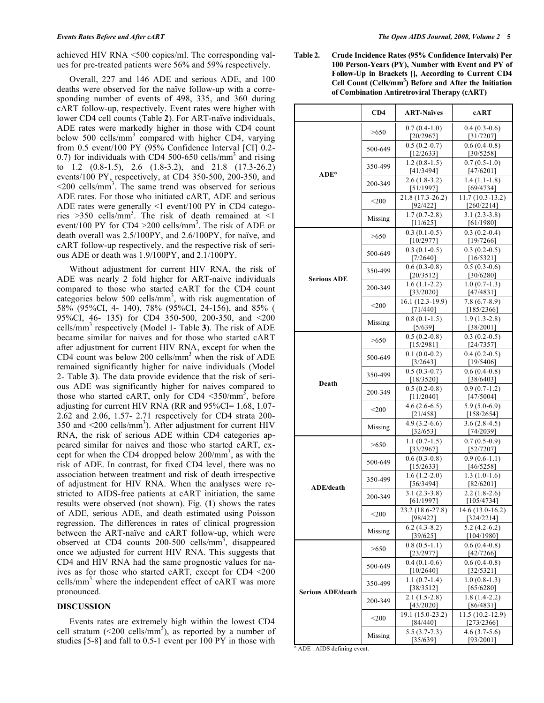achieved HIV RNA <500 copies/ml. The corresponding values for pre-treated patients were 56% and 59% respectively.

 Overall, 227 and 146 ADE and serious ADE, and 100 deaths were observed for the naïve follow-up with a corresponding number of events of 498, 335, and 360 during cART follow-up, respectively. Event rates were higher with lower CD4 cell counts (Table **2**). For ART-naïve individuals, ADE rates were markedly higher in those with CD4 count below 500 cells/mm<sup>3</sup> compared with higher CD4, varying from 0.5 event/100 PY (95% Confidence Interval [CI] 0.2- 0.7) for individuals with CD4 500-650 cells/mm<sup>3</sup> and rising to 1.2 (0.8-1.5), 2.6 (1.8-3.2), and 21.8 (17.3-26.2) events/100 PY, respectively, at CD4 350-500, 200-350, and <200 cells/mm<sup>3</sup> . The same trend was observed for serious ADE rates. For those who initiated cART, ADE and serious ADE rates were generally <1 event/100 PY in CD4 categories  $>350$  cells/mm<sup>3</sup>. The risk of death remained at <1 event/100 PY for CD4  $>$ 200 cells/mm<sup>3</sup>. The risk of ADE or death overall was 2.5/100PY, and 2.6/100PY, for naïve, and cART follow-up respectively, and the respective risk of serious ADE or death was 1.9/100PY, and 2.1/100PY.

 Without adjustment for current HIV RNA, the risk of ADE was nearly 2 fold higher for ART-naive individuals compared to those who started cART for the CD4 count categories below 500 cells/ $mm<sup>3</sup>$ , with risk augmentation of 58% (95%CI, 4- 140), 78% (95%CI, 24-156), and 85% ( 95%CI, 46- 135) for CD4 350-500, 200-350, and <200 cells/mm<sup>3</sup> respectively (Model 1- Table **3**). The risk of ADE became similar for naives and for those who started cART after adjustment for current HIV RNA, except for when the CD4 count was below 200 cells/ $\text{mm}^3$  when the risk of ADE remained significantly higher for naive individuals (Model 2- Table **3**). The data provide evidence that the risk of serious ADE was significantly higher for naives compared to those who started cART, only for CD4  $\leq$ 350/mm<sup>3</sup>, before adjusting for current HIV RNA (RR and 95%CI= 1.68, 1.07- 2.62 and 2.06, 1.57- 2.71 respectively for CD4 strata 200- 350 and <200 cells/mm<sup>3</sup> ). After adjustment for current HIV RNA, the risk of serious ADE within CD4 categories appeared similar for naives and those who started cART, except for when the CD4 dropped below  $200/\text{mm}^3$ , as with the risk of ADE. In contrast, for fixed CD4 level, there was no association between treatment and risk of death irrespective of adjustment for HIV RNA. When the analyses were restricted to AIDS-free patients at cART initiation, the same results were observed (not shown). Fig. (**1**) shows the rates of ADE, serious ADE, and death estimated using Poisson regression. The differences in rates of clinical progression between the ART-naïve and cART follow-up, which were observed at CD4 counts  $200-500$  cells/mm<sup>3</sup>, disappeared once we adjusted for current HIV RNA. This suggests that CD4 and HIV RNA had the same prognostic values for naives as for those who started cART, except for CD4 <200 cells/mm<sup>3</sup> where the independent effect of cART was more pronounced.

### **DISCUSSION**

 Events rates are extremely high within the lowest CD4 cell stratum  $(\leq 200 \text{ cells/mm}^3)$ , as reported by a number of studies [5-8] and fall to 0.5-1 event per 100 PY in those with

**Table 2. Crude Incidence Rates (95% Confidence Intervals) Per 100 Person-Years (PY), Number with Event and PY of Follow-Up in Brackets [], According to Current CD4 Cell Count (Cells/mm3 ) Before and After the Initiation of Combination Antiretroviral Therapy (cART)** 

|                          | CD4     | <b>ART-Naïves</b>             | cART                              |
|--------------------------|---------|-------------------------------|-----------------------------------|
|                          | >650    | $0.7(0.4-1.0)$<br>[20/2967]   | $0.4(0.3-0.6)$<br>[31/7207]       |
|                          | 500-649 | $0.5(0.2-0.7)$<br>[12/2633]   | $0.6(0.4-0.8)$<br>[30/5258]       |
| <b>ADE<sup>o</sup></b>   | 350-499 | $1.2(0.8-1.5)$<br>[41/3494]   | $0.7(0.5-1.0)$<br>[47/6201]       |
|                          | 200-349 | $2.6(1.8-3.2)$<br>[51/1997]   | $1.4(1.1-1.8)$<br>[69/4734]       |
|                          | $<$ 200 | 21.8 (17.3-26.2)<br>[92/422]  | $11.7(10.3-13.2)$<br>[260/2214]   |
|                          | Missing | $1.7(0.7-2.8)$<br>[11/625]    | $3.1(2.3-3.8)$<br>[61/1980]       |
|                          | >650    | $0.3(0.1-0.5)$<br>[10/2977]   | $0.3(0.2-0.4)$<br>[19/7266]       |
|                          | 500-649 | $0.3(0.1-0.5)$<br>[7/2640]    | $0.3(0.2-0.5)$<br>[16/5321]       |
|                          | 350-499 | $0.6(0.3-0.8)$<br>[20/3512]   | $0.5(0.3-0.6)$<br>[30/6280]       |
| <b>Serious ADE</b>       | 200-349 | $1.6(1.1-2.2)$<br>[33/2020]   | $1.0(0.7-1.3)$<br>[47/4831]       |
|                          | $200$   | $16.1(12.3-19.9)$<br>[71/440] | $7.8(6.7 - 8.9)$<br>[185/2366]    |
|                          | Missing | $0.8(0.1-1.5)$<br>[5/639]     | $1.9(1.3-2.8)$<br>[38/2001]       |
|                          | >650    | $0.5(0.2-0.8)$<br>[15/2981]   | $0.3(0.2-0.5)$<br>[24/7357]       |
|                          | 500-649 | $0.1(0.0-0.2)$<br>[3/2643]    | $0.4(0.2-0.5)$<br>[19/5406]       |
| Death                    | 350-499 | $0.5(0.3-0.7)$<br>[18/3520]   | $0.6(0.4-0.8)$<br>[38/6403]       |
|                          | 200-349 | $0.5(0.2-0.8)$<br>[11/2040]   | $0.9(0.7-1.2)$<br>[47/5004]       |
|                          | $<$ 200 | $4.6(2.6-6.5)$<br>[21/458]    | $5.9(5.0-6.9)$<br>[158/2654]      |
|                          | Missing | $4.9(3.2-6.6)$<br>[32/653]    | $3.6(2.8-4.5)$<br>[74/2039]       |
|                          | >650    | $1.1(0.7-1.5)$<br>[33/2967]   | $0.7(0.5-0.9)$<br>[52/7207]       |
|                          | 500-649 | $0.6(0.3-0.8)$<br>[15/2633]   | $0.9(0.6-1.1)$<br>[46/5258]       |
| ADE/death                | 350-499 | $1.6(1.2-2.0)$<br>[56/3494]   | $1.3(1.0-1.6)$<br>[82/6201]       |
|                          | 200-349 | $3.1(2.3-3.8)$<br>[61/1997]   | $2.2(1.8-2.6)$<br>[105/4734]      |
|                          | $200$   | 23.2 (18.6-27.8)<br>[98/422]  | $14.6(13.0-16.2)$<br>[324/2214]   |
|                          | Missing | $6.2(4.3-8.2)$<br>[39/625]    | $5.2(4.2-6.2)$<br>[104/1980]      |
|                          | >650    | $0.8(0.5-1.1)$<br>[23/2977]   | $0.6(0.4-0.8)$<br>[42/7266]       |
|                          | 500-649 | $0.4(0.1-0.6)$<br>[10/2640]   | $0.6(0.4-0.8)$<br>[32/5321]       |
| <b>Serious ADE/death</b> | 350-499 | $1.1(0.7-1.4)$<br>[38/3512]   | $1.0(0.8-1.3)$<br>[65/6280]       |
|                          | 200-349 | $2.1(1.5-2.8)$<br>[43/2020]   | $1.8(1.4-2.2)$<br>[86/4831]       |
|                          | $<$ 200 | 19.1 (15.0-23.2)<br>[84/440]  | $11.5(10.2 - 12.9)$<br>[273/2366] |
|                          | Missing | $5.5(3.7-7.3)$<br>[35/639]    | $4.6(3.7-5.6)$<br>[93/2001]       |

° ADE : AIDS defining event.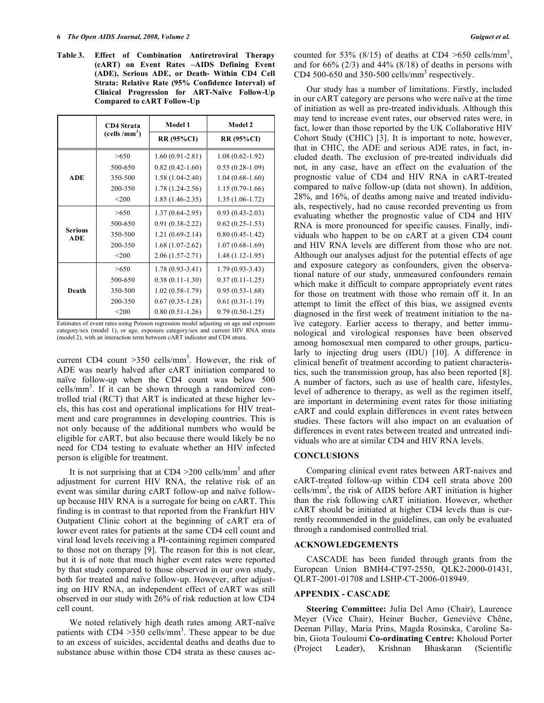**Table 3. Effect of Combination Antiretroviral Therapy (cART) on Event Rates –AIDS Defining Event (ADE), Serious ADE, or Death- Within CD4 Cell Strata: Relative Rate (95% Confidence Interval) of Clinical Progression for ART-Naïve Follow-Up Compared to cART Follow-Up** 

|                              | <b>CD4</b> Strata<br>(cells/mm <sup>3</sup> ) | Model 1             | Model 2             |
|------------------------------|-----------------------------------------------|---------------------|---------------------|
|                              |                                               | <b>RR (95%CI)</b>   | <b>RR</b> (95%CI)   |
|                              | >650                                          | $1.60(0.91 - 2.81)$ | $1.08(0.62 - 1.92)$ |
|                              | 500-650                                       | $0.82(0.42 - 1.60)$ | $0.55(0.28-1.09)$   |
| <b>ADE</b>                   | 350-500                                       | $1.58(1.04-2.40)$   | $1.04(0.68-1.60)$   |
|                              | 200-350                                       | $1.78(1.24-2.56)$   | $1.15(0.79-1.66)$   |
|                              | $<$ 200                                       | $1.85(1.46-2.35)$   | $1.35(1.06-1.72)$   |
|                              | >650                                          | $1.37(0.64 - 2.95)$ | $0.93(0.43 - 2.03)$ |
|                              | 500-650                                       | $0.91(0.38-2.22)$   | $0.62(0.25-1.53)$   |
| <b>Serious</b><br><b>ADE</b> | 350-500                                       | $1.21(0.69-2.14)$   | $0.80(0.45 - 1.42)$ |
|                              | 200-350                                       | $1.68(1.07-2.62)$   | $1.07(0.68-1.69)$   |
|                              | $<$ 200                                       | $2.06(1.57-2.71)$   | $1.48(1.12-1.95)$   |
|                              | >650                                          | $1.78(0.93 - 3.41)$ | $1.79(0.93 - 3.43)$ |
|                              | 500-650                                       | $0.38(0.11-1.30)$   | $0.37(0.11 - 1.25)$ |
| Death                        | 350-500                                       | $1.02(0.58-1.79)$   | $0.95(0.53 - 1.68)$ |
|                              | 200-350                                       | $0.67(0.35-1.28)$   | $0.61(0.31-1.19)$   |
|                              | $200$                                         | $0.80(0.51-1.26)$   | $0.79(0.50-1.25)$   |

Estimates of event rates using Poisson regression model adjusting on age and exposure category/sex (model 1), or age, exposure category/sex and current HIV RNA strata (model 2), with an interaction term between cART indicator and CD4 strata.

current CD4 count  $>350$  cells/mm<sup>3</sup>. However, the risk of ADE was nearly halved after cART initiation compared to naïve follow-up when the CD4 count was below 500 cells/mm<sup>3</sup> . If it can be shown through a randomized controlled trial (RCT) that ART is indicated at these higher levels, this has cost and operational implications for HIV treatment and care programmes in developing countries. This is not only because of the additional numbers who would be eligible for cART, but also because there would likely be no need for CD4 testing to evaluate whether an HIV infected person is eligible for treatment.

It is not surprising that at CD4  $>$ 200 cells/mm<sup>3</sup> and after adjustment for current HIV RNA, the relative risk of an event was similar during cART follow-up and naïve followup because HIV RNA is a surrogate for being on cART. This finding is in contrast to that reported from the Frankfurt HIV Outpatient Clinic cohort at the beginning of cART era of lower event rates for patients at the same CD4 cell count and viral load levels receiving a PI-containing regimen compared to those not on therapy [9]. The reason for this is not clear, but it is of note that much higher event rates were reported by that study compared to those observed in our own study, both for treated and naïve follow-up. However, after adjusting on HIV RNA, an independent effect of cART was still observed in our study with 26% of risk reduction at low CD4 cell count.

 We noted relatively high death rates among ART-naïve patients with  $CD4 > 350$  cells/mm<sup>3</sup>. These appear to be due to an excess of suicides, accidental deaths and deaths due to substance abuse within those CD4 strata as these causes ac-

counted for 53% (8/15) of deaths at CD4  $>650$  cells/mm<sup>3</sup>, and for  $66\%$  (2/3) and  $44\%$  (8/18) of deaths in persons with CD4 500-650 and 350-500 cells/ $\text{mm}^3$  respectively.

 Our study has a number of limitations. Firstly, included in our cART category are persons who were naïve at the time of initiation as well as pre-treated individuals. Although this may tend to increase event rates, our observed rates were, in fact, lower than those reported by the UK Collaborative HIV Cohort Study (CHIC) [3]. It is important to note, however, that in CHIC, the ADE and serious ADE rates, in fact, included death. The exclusion of pre-treated individuals did not, in any case, have an effect on the evaluation of the prognostic value of CD4 and HIV RNA in cART-treated compared to naïve follow-up (data not shown). In addition, 28%, and 16%, of deaths among naive and treated individuals, respectively, had no cause recorded preventing us from evaluating whether the prognostic value of CD4 and HIV RNA is more pronounced for specific causes. Finally, individuals who happen to be on cART at a given CD4 count and HIV RNA levels are different from those who are not. Although our analyses adjust for the potential effects of age and exposure category as confounders, given the observational nature of our study, unmeasured confounders remain which make it difficult to compare appropriately event rates for those on treatment with those who remain off it. In an attempt to limit the effect of this bias, we assigned events diagnosed in the first week of treatment initiation to the naïve category. Earlier access to therapy, and better immunological and virological responses have been observed among homosexual men compared to other groups, particularly to injecting drug users (IDU) [10]. A difference in clinical benefit of treatment according to patient characteristics, such the transmission group, has also been reported [8]. A number of factors, such as use of health care, lifestyles, level of adherence to therapy, as well as the regimen itself, are important in determining event rates for those initiating cART and could explain differences in event rates between studies. These factors will also impact on an evaluation of differences in event rates between treated and untreated individuals who are at similar CD4 and HIV RNA levels.

#### **CONCLUSIONS**

 Comparing clinical event rates between ART-naives and cART-treated follow-up within CD4 cell strata above 200 cells/mm<sup>3</sup> , the risk of AIDS before ART initiation is higher than the risk following cART initiation. However, whether cART should be initiated at higher CD4 levels than is currently recommended in the guidelines, can only be evaluated through a randomised controlled trial.

# **ACKNOWLEDGEMENTS**

 CASCADE has been funded through grants from the European Union BMH4-CT97-2550, QLK2-2000-01431, QLRT-2001-01708 and LSHP-CT-2006-018949.

## **APPENDIX - CASCADE**

 **Steering Committee:** Julia Del Amo (Chair), Laurence Meyer (Vice Chair), Heiner Bucher, Geneviève Chêne, Deenan Pillay, Maria Prins, Magda Rosinska, Caroline Sabin, Giota Touloumi **Co-ordinating Centre:** Kholoud Porter (Project Leader), Krishnan Bhaskaran (Scientific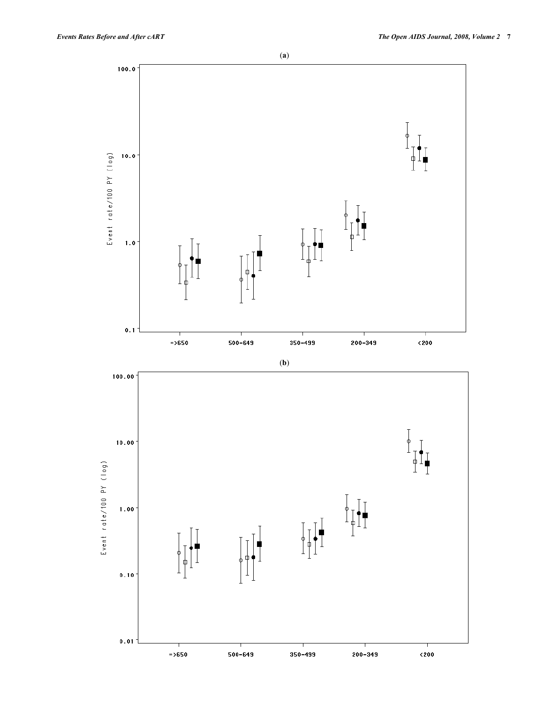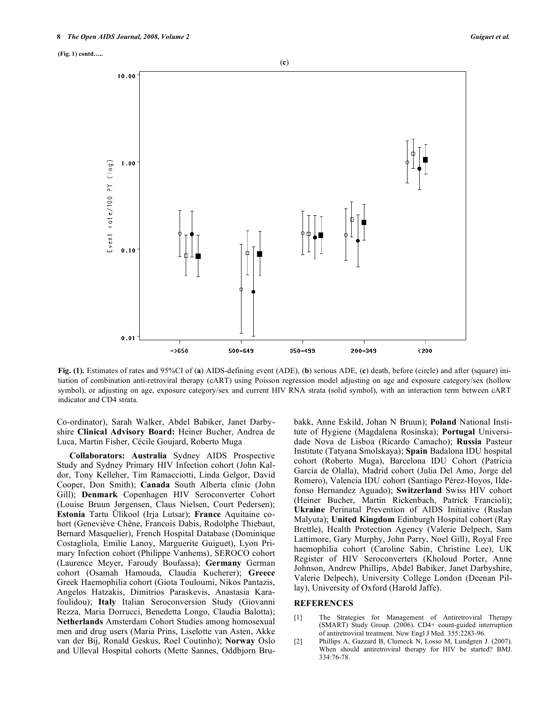**(Fig. 1) contd…..** 



**Fig. (1).** Estimates of rates and 95%CI of (**a**) AIDS-defining event (ADE), (**b**) serious ADE, (**c**) death, before (circle) and after (square) initiation of combination anti-retroviral therapy (cART) using Poisson regression model adjusting on age and exposure category/sex (hollow symbol), or adjusting on age, exposure category/sex and current HIV RNA strata (solid symbol), with an interaction term between cART indicator and CD4 strata.

Co-ordinator), Sarah Walker, Abdel Babiker, Janet Darbyshire **Clinical Advisory Board:** Heiner Bucher, Andrea de Luca, Martin Fisher, Cécile Goujard, Roberto Muga

 **Collaborators: Australia** Sydney AIDS Prospective Study and Sydney Primary HIV Infection cohort (John Kaldor, Tony Kelleher, Tim Ramacciotti, Linda Gelgor, David Cooper, Don Smith); **Canada** South Alberta clinic (John Gill); **Denmark** Copenhagen HIV Seroconverter Cohort (Louise Bruun Jørgensen, Claus Nielsen, Court Pedersen); **Estonia** Tartu Ülikool (Irja Lutsar); **France** Aquitaine cohort (Geneviève Chêne, Francois Dabis, Rodolphe Thiebaut, Bernard Masquelier), French Hospital Database (Dominique Costagliola, Emilie Lanoy, Marguerite Guiguet), Lyon Primary Infection cohort (Philippe Vanhems), SEROCO cohort (Laurence Meyer, Faroudy Boufassa); **Germany** German cohort (Osamah Hamouda, Claudia Kucherer); **Greece**  Greek Haemophilia cohort (Giota Touloumi, Nikos Pantazis, Angelos Hatzakis, Dimitrios Paraskevis, Anastasia Karafoulidou); **Italy** Italian Seroconversion Study (Giovanni Rezza, Maria Dorrucci, Benedetta Longo, Claudia Balotta); **Netherlands** Amsterdam Cohort Studies among homosexual men and drug users (Maria Prins, Liselotte van Asten, Akke van der Bij, Ronald Geskus, Roel Coutinho); **Norway** Oslo and Ulleval Hospital cohorts (Mette Sannes, Oddbjorn Brubakk, Anne Eskild, Johan N Bruun); **Poland** National Institute of Hygiene (Magdalena Rosinska); **Portugal** Universidade Nova de Lisboa (Ricardo Camacho); **Russia** Pasteur Institute (Tatyana Smolskaya); **Spain** Badalona IDU hospital cohort (Roberto Muga), Barcelona IDU Cohort (Patricia Garcia de Olalla), Madrid cohort (Julia Del Amo, Jorge del Romero), Valencia IDU cohort (Santiago Pérez-Hoyos, Ildefonso Hernandez Aguado); **Switzerland** Swiss HIV cohort (Heiner Bucher, Martin Rickenbach, Patrick Francioli); **Ukraine** Perinatal Prevention of AIDS Initiative (Ruslan Malyuta); **United Kingdom** Edinburgh Hospital cohort (Ray Brettle), Health Protection Agency (Valerie Delpech, Sam Lattimore, Gary Murphy, John Parry, Noel Gill), Royal Free haemophilia cohort (Caroline Sabin, Christine Lee), UK Register of HIV Seroconverters (Kholoud Porter, Anne Johnson, Andrew Phillips, Abdel Babiker, Janet Darbyshire, Valerie Delpech), University College London (Deenan Pillay), University of Oxford (Harold Jaffe).

## **REFERENCES**

- [1] The Strategies for Management of Antiretroviral Therapy (SMART) Study Group. (2006). CD4+ count-guided interruption of antiretroviral treatment. New Engl J Med. 355:2283-96.
- [2] Phillips A, Gazzard B, Clumeck N, Losso M, Lundgren J. (2007). When should antiretroviral therapy for HIV be started? BMJ. 334:76-78.